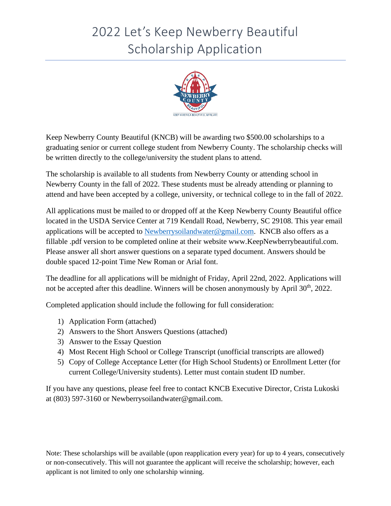# 2022 Let's Keep Newberry Beautiful Scholarship Application



Keep Newberry County Beautiful (KNCB) will be awarding two \$500.00 scholarships to a graduating senior or current college student from Newberry County. The scholarship checks will be written directly to the college/university the student plans to attend.

The scholarship is available to all students from Newberry County or attending school in Newberry County in the fall of 2022. These students must be already attending or planning to attend and have been accepted by a college, university, or technical college to in the fall of 2022.

All applications must be mailed to or dropped off at the Keep Newberry County Beautiful office located in the USDA Service Center at 719 Kendall Road, Newberry, SC 29108. This year email applications will be accepted to [Newberrysoilandwater@gmail.com.](mailto:Newberrysoilandwater@gmail.com) KNCB also offers as a fillable .pdf version to be completed online at their website www.KeepNewberrybeautiful.com. Please answer all short answer questions on a separate typed document. Answers should be double spaced 12-point Time New Roman or Arial font.

The deadline for all applications will be midnight of Friday, April 22nd, 2022. Applications will not be accepted after this deadline. Winners will be chosen anonymously by April 30<sup>th</sup>, 2022.

Completed application should include the following for full consideration:

- 1) Application Form (attached)
- 2) Answers to the Short Answers Questions (attached)
- 3) Answer to the Essay Question
- 4) Most Recent High School or College Transcript (unofficial transcripts are allowed)
- 5) Copy of College Acceptance Letter (for High School Students) or Enrollment Letter (for current College/University students). Letter must contain student ID number.

If you have any questions, please feel free to contact KNCB Executive Director, Crista Lukoski at (803) 597-3160 or Newberrysoilandwater@gmail.com.

Note: These scholarships will be available (upon reapplication every year) for up to 4 years, consecutively or non-consecutively. This will not guarantee the applicant will receive the scholarship; however, each applicant is not limited to only one scholarship winning.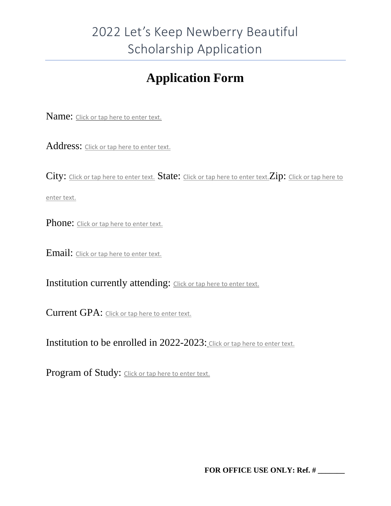## **Application Form**

Name: Click or tap here to enter text.

Address: Click or tap here to enter text.

City: Click or tap here to enter text. State: Click or tap here to enter text. Zip: Click or tap here to

enter text.

Phone: Click or tap here to enter text.

Email: Click or tap here to enter text.

Institution currently attending: Click or tap here to enter text.

Current GPA: Click or tap here to enter text.

Institution to be enrolled in 2022-2023: Click or tap here to enter text.

Program of Study: Click or tap here to enter text.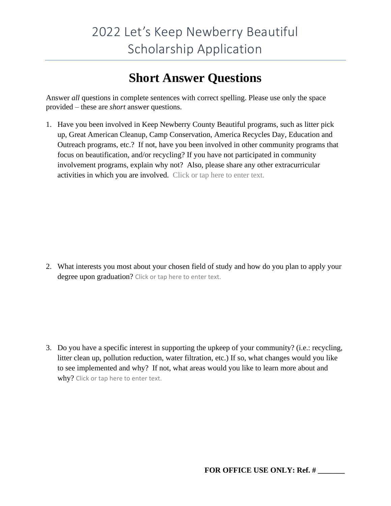### **Short Answer Questions**

Answer *all* questions in complete sentences with correct spelling. Please use only the space provided – these are *short* answer questions.

1. Have you been involved in Keep Newberry County Beautiful programs, such as litter pick up, Great American Cleanup, Camp Conservation, America Recycles Day, Education and Outreach programs, etc.? If not, have you been involved in other community programs that focus on beautification, and/or recycling? If you have not participated in community involvement programs, explain why not? Also, please share any other extracurricular activities in which you are involved. Click or tap here to enter text.

2. What interests you most about your chosen field of study and how do you plan to apply your degree upon graduation? Click or tap here to enter text.

3. Do you have a specific interest in supporting the upkeep of your community? (i.e.: recycling, litter clean up, pollution reduction, water filtration, etc.) If so, what changes would you like to see implemented and why? If not, what areas would you like to learn more about and why? Click or tap here to enter text.